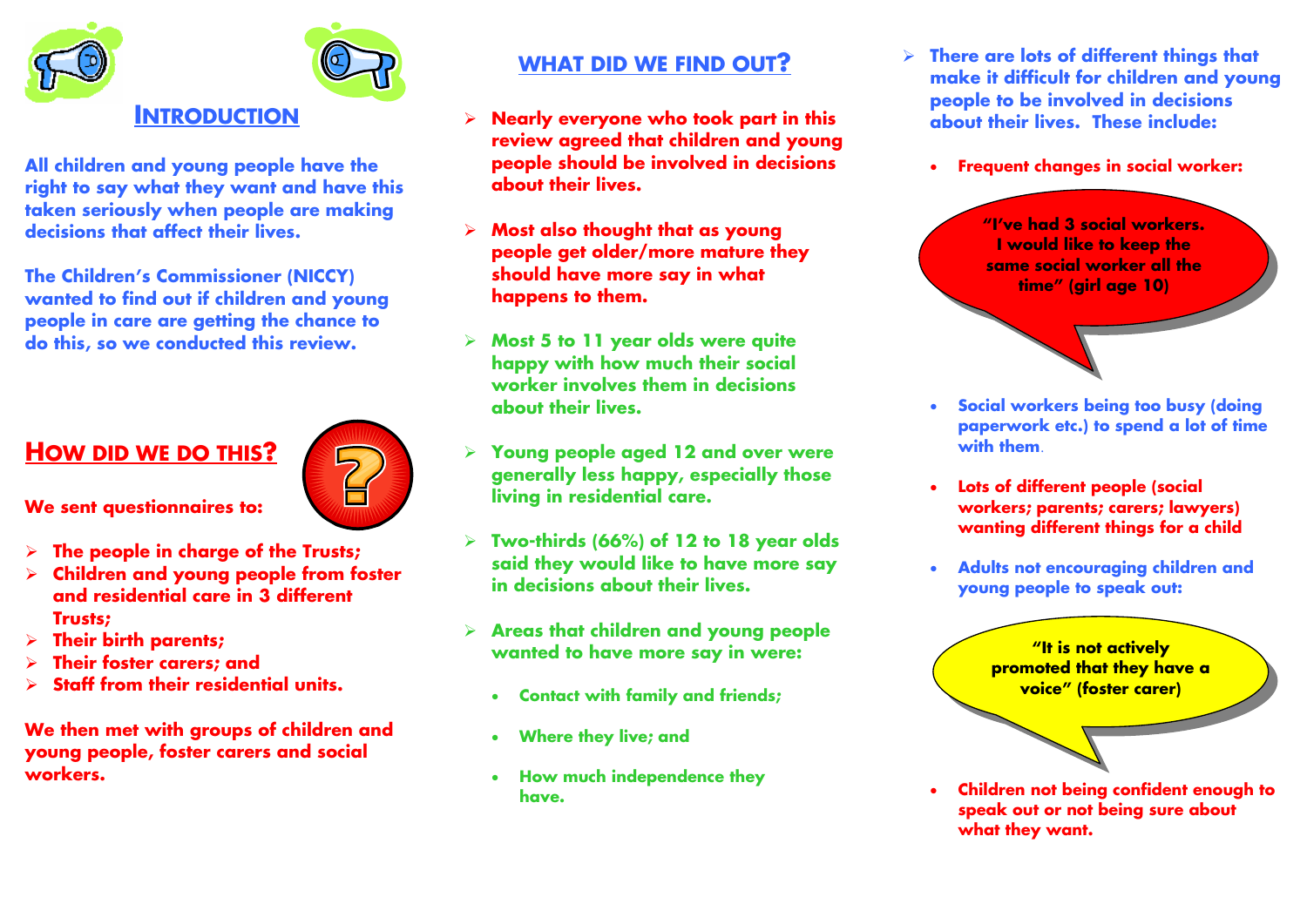

**All children and young people have the right to say what they want and have this taken seriously when people are making decisions that affect their lives.** 

**The Children's Commissioner (NICCY) wanted to find out if children and young people in care are getting the chance to do this, so we conducted this review.** 

## **HOW DID WE DO THIS?**

**We sent questionnaires to:** 

- ¾**The people in charge of the Trusts;**
- ¾ **Children and young people from foster and residential care in 3 different Trusts;**
- ¾**Their birth parents;**
- ¾**Their foster carers; and**
- ¾**Staff from their residential units.**

**We then met with groups of children and young people, foster carers and social workers.** 

### **WHAT DID WE FIND OUT?**

- ¾ **Nearly everyone who took part in this review agreed that children and young people should be involved in decisions about their lives.**
- ¾ **Most also thought that as young people get older/more mature they should have more say in what happens to them.**
- ¾ **Most 5 to 11 year olds were quite happy with how much their social worker involves them in decisions about their lives.**
- ¾ **Young people aged 12 and over were generally less happy, especially those living in residential care.**
- ¾ **Two-thirds (66%) of 12 to 18 year olds said they would like to have more say in decisions about their lives.**
- ¾ **Areas that children and young people wanted to have more say in were:** 
	- •**Contact with family and friends;**
	- •**Where they live; and**
	- **How much independence they have.**
- ¾ **There are lots of different things that make it difficult for children and young people to be involved in decisions about their lives. These include:** 
	- $\bullet$ **Frequent changes in social worker:**

**"I've had 3 social workers. I would like to keep the same social worker all the time" (girl age 10)** 

- • **Social workers being too busy (doing paperwork etc.) to spend a lot of time with them**.
- • **Lots of different people (social workers; parents; carers; lawyers) wanting different things for a child**
- • **Adults not encouraging children and young people to speak out:**

**"It is not actively promoted that they have a voice" (foster carer)** 

• **Children not being confident enough to speak out or not being sure about what they want.**